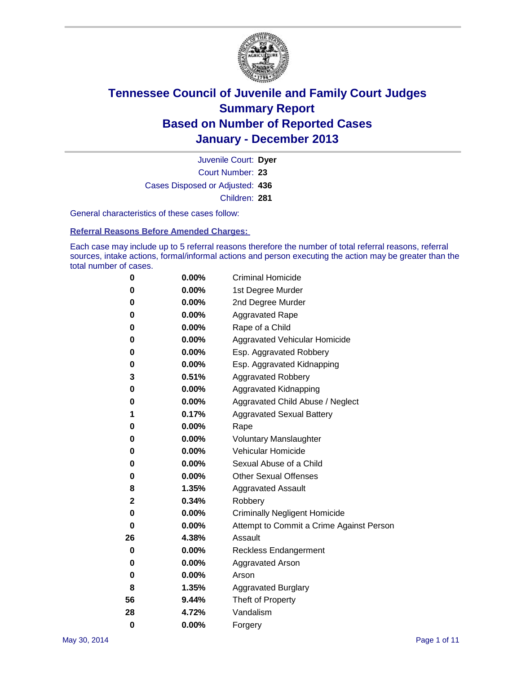

Court Number: **23** Juvenile Court: **Dyer** Cases Disposed or Adjusted: **436** Children: **281**

General characteristics of these cases follow:

**Referral Reasons Before Amended Charges:** 

Each case may include up to 5 referral reasons therefore the number of total referral reasons, referral sources, intake actions, formal/informal actions and person executing the action may be greater than the total number of cases.

| 0        | 0.00%    | <b>Criminal Homicide</b>                 |
|----------|----------|------------------------------------------|
| 0        | 0.00%    | 1st Degree Murder                        |
| 0        | 0.00%    | 2nd Degree Murder                        |
| 0        | $0.00\%$ | <b>Aggravated Rape</b>                   |
| 0        | 0.00%    | Rape of a Child                          |
| 0        | 0.00%    | <b>Aggravated Vehicular Homicide</b>     |
| 0        | $0.00\%$ | Esp. Aggravated Robbery                  |
| 0        | 0.00%    | Esp. Aggravated Kidnapping               |
| 3        | 0.51%    | <b>Aggravated Robbery</b>                |
| 0        | 0.00%    | Aggravated Kidnapping                    |
| 0        | 0.00%    | Aggravated Child Abuse / Neglect         |
| 1        | 0.17%    | <b>Aggravated Sexual Battery</b>         |
| 0        | $0.00\%$ | Rape                                     |
| 0        | 0.00%    | <b>Voluntary Manslaughter</b>            |
| 0        | 0.00%    | Vehicular Homicide                       |
| 0        | 0.00%    | Sexual Abuse of a Child                  |
| 0        | 0.00%    | <b>Other Sexual Offenses</b>             |
| 8        | 1.35%    | <b>Aggravated Assault</b>                |
| 2        | 0.34%    | Robbery                                  |
| 0        | 0.00%    | <b>Criminally Negligent Homicide</b>     |
| 0        | 0.00%    | Attempt to Commit a Crime Against Person |
| 26       | 4.38%    | Assault                                  |
| 0        | 0.00%    | <b>Reckless Endangerment</b>             |
| 0        | 0.00%    | <b>Aggravated Arson</b>                  |
| 0        | $0.00\%$ | Arson                                    |
| 8        | 1.35%    | <b>Aggravated Burglary</b>               |
| 56       | 9.44%    | Theft of Property                        |
| 28       | 4.72%    | Vandalism                                |
| $\bf{0}$ | 0.00%    | Forgery                                  |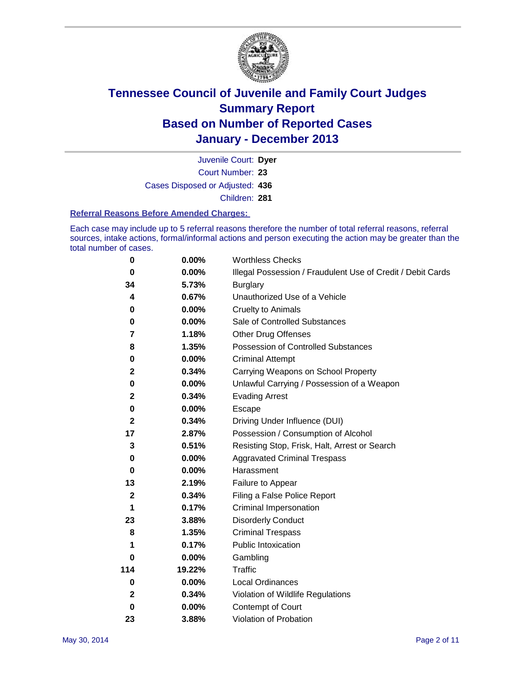

Court Number: **23** Juvenile Court: **Dyer** Cases Disposed or Adjusted: **436** Children: **281**

#### **Referral Reasons Before Amended Charges:**

Each case may include up to 5 referral reasons therefore the number of total referral reasons, referral sources, intake actions, formal/informal actions and person executing the action may be greater than the total number of cases.

| 0           | 0.00%    | <b>Worthless Checks</b>                                     |
|-------------|----------|-------------------------------------------------------------|
| 0           | 0.00%    | Illegal Possession / Fraudulent Use of Credit / Debit Cards |
| 34          | 5.73%    | <b>Burglary</b>                                             |
| 4           | 0.67%    | Unauthorized Use of a Vehicle                               |
| 0           | 0.00%    | <b>Cruelty to Animals</b>                                   |
| 0           | $0.00\%$ | Sale of Controlled Substances                               |
| 7           | 1.18%    | <b>Other Drug Offenses</b>                                  |
| 8           | 1.35%    | <b>Possession of Controlled Substances</b>                  |
| $\pmb{0}$   | 0.00%    | <b>Criminal Attempt</b>                                     |
| $\mathbf 2$ | 0.34%    | Carrying Weapons on School Property                         |
| $\mathbf 0$ | 0.00%    | Unlawful Carrying / Possession of a Weapon                  |
| $\mathbf 2$ | 0.34%    | <b>Evading Arrest</b>                                       |
| 0           | 0.00%    | Escape                                                      |
| $\mathbf 2$ | 0.34%    | Driving Under Influence (DUI)                               |
| 17          | 2.87%    | Possession / Consumption of Alcohol                         |
| 3           | 0.51%    | Resisting Stop, Frisk, Halt, Arrest or Search               |
| 0           | 0.00%    | <b>Aggravated Criminal Trespass</b>                         |
| 0           | 0.00%    | Harassment                                                  |
| 13          | 2.19%    | Failure to Appear                                           |
| $\mathbf 2$ | 0.34%    | Filing a False Police Report                                |
| 1           | 0.17%    | Criminal Impersonation                                      |
| 23          | 3.88%    | <b>Disorderly Conduct</b>                                   |
| 8           | 1.35%    | <b>Criminal Trespass</b>                                    |
| 1           | 0.17%    | <b>Public Intoxication</b>                                  |
| 0           | 0.00%    | Gambling                                                    |
| 114         | 19.22%   | <b>Traffic</b>                                              |
| 0           | $0.00\%$ | <b>Local Ordinances</b>                                     |
| $\mathbf 2$ | 0.34%    | Violation of Wildlife Regulations                           |
| $\bf{0}$    | 0.00%    | Contempt of Court                                           |
| 23          | 3.88%    | Violation of Probation                                      |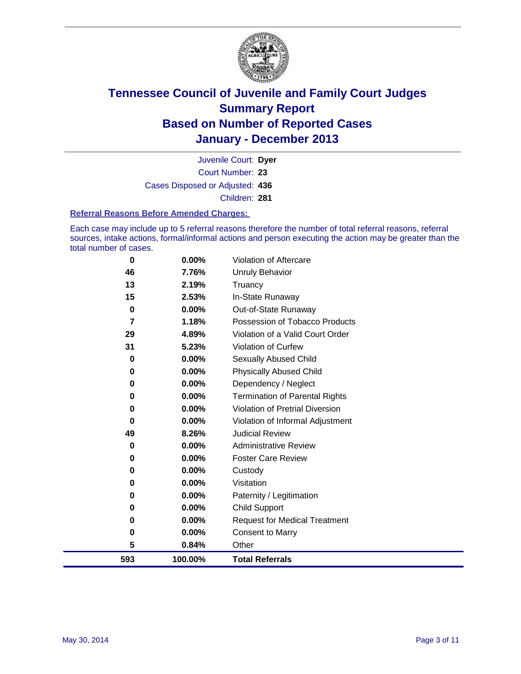

Court Number: **23** Juvenile Court: **Dyer** Cases Disposed or Adjusted: **436** Children: **281**

#### **Referral Reasons Before Amended Charges:**

Each case may include up to 5 referral reasons therefore the number of total referral reasons, referral sources, intake actions, formal/informal actions and person executing the action may be greater than the total number of cases.

| 0   | 0.00%   | <b>Violation of Aftercare</b>          |
|-----|---------|----------------------------------------|
| 46  | 7.76%   | <b>Unruly Behavior</b>                 |
| 13  | 2.19%   | Truancy                                |
| 15  | 2.53%   | In-State Runaway                       |
| 0   | 0.00%   | Out-of-State Runaway                   |
| 7   | 1.18%   | Possession of Tobacco Products         |
| 29  | 4.89%   | Violation of a Valid Court Order       |
| 31  | 5.23%   | <b>Violation of Curfew</b>             |
| 0   | 0.00%   | Sexually Abused Child                  |
| 0   | 0.00%   | <b>Physically Abused Child</b>         |
| 0   | 0.00%   | Dependency / Neglect                   |
| 0   | 0.00%   | <b>Termination of Parental Rights</b>  |
| 0   | 0.00%   | <b>Violation of Pretrial Diversion</b> |
| 0   | 0.00%   | Violation of Informal Adjustment       |
| 49  | 8.26%   | <b>Judicial Review</b>                 |
| 0   | 0.00%   | <b>Administrative Review</b>           |
| 0   | 0.00%   | <b>Foster Care Review</b>              |
| 0   | 0.00%   | Custody                                |
| 0   | 0.00%   | Visitation                             |
| 0   | 0.00%   | Paternity / Legitimation               |
| 0   | 0.00%   | <b>Child Support</b>                   |
| 0   | 0.00%   | <b>Request for Medical Treatment</b>   |
| 0   | 0.00%   | <b>Consent to Marry</b>                |
| 5   | 0.84%   | Other                                  |
| 593 | 100.00% | <b>Total Referrals</b>                 |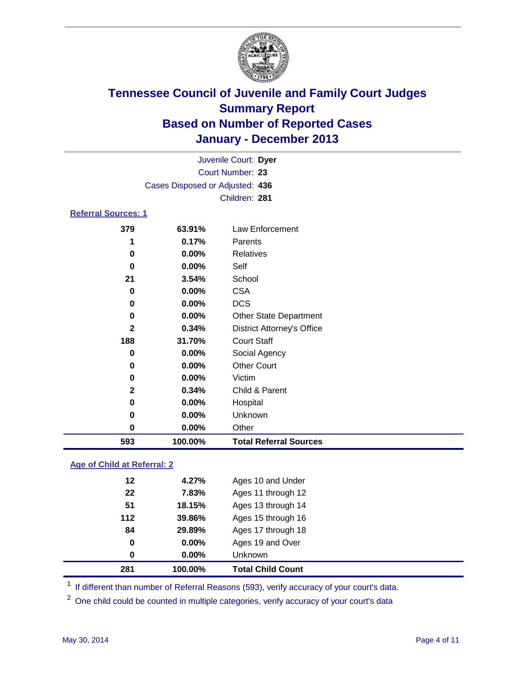

| Juvenile Court: Dyer            |                                                                                                                                                                          |                                   |  |  |  |
|---------------------------------|--------------------------------------------------------------------------------------------------------------------------------------------------------------------------|-----------------------------------|--|--|--|
| Court Number: 23                |                                                                                                                                                                          |                                   |  |  |  |
| Cases Disposed or Adjusted: 436 |                                                                                                                                                                          |                                   |  |  |  |
|                                 |                                                                                                                                                                          |                                   |  |  |  |
| <b>Referral Sources: 1</b>      |                                                                                                                                                                          |                                   |  |  |  |
| 379                             | 63.91%                                                                                                                                                                   | Law Enforcement                   |  |  |  |
| 1                               | 0.17%                                                                                                                                                                    | Parents                           |  |  |  |
| 0                               | 0.00%                                                                                                                                                                    | Relatives                         |  |  |  |
| 0                               | 0.00%                                                                                                                                                                    | Self                              |  |  |  |
| 21                              | 3.54%                                                                                                                                                                    | School                            |  |  |  |
| 0                               | 0.00%                                                                                                                                                                    | <b>CSA</b>                        |  |  |  |
| 0                               | 0.00%                                                                                                                                                                    | <b>DCS</b>                        |  |  |  |
| 0                               | $0.00\%$                                                                                                                                                                 | <b>Other State Department</b>     |  |  |  |
| $\mathbf{2}$                    | 0.34%                                                                                                                                                                    | <b>District Attorney's Office</b> |  |  |  |
| 188                             | 31.70%                                                                                                                                                                   | <b>Court Staff</b>                |  |  |  |
| 0                               | 0.00%                                                                                                                                                                    | Social Agency                     |  |  |  |
| 0                               | Children: 281<br><b>Other Court</b><br>0.00%<br>0.00%<br>Victim<br>0<br>$\mathbf{2}$<br>0.34%<br>Child & Parent<br>0<br>$0.00\%$<br>Hospital<br>Unknown<br>$0.00\%$<br>0 |                                   |  |  |  |
|                                 |                                                                                                                                                                          |                                   |  |  |  |
|                                 |                                                                                                                                                                          |                                   |  |  |  |
|                                 |                                                                                                                                                                          |                                   |  |  |  |
|                                 |                                                                                                                                                                          |                                   |  |  |  |

 **0.00%** Other **100.00% Total Referral Sources**

### **Age of Child at Referral: 2**

| 281 | 100.00%  | <b>Total Child Count</b> |
|-----|----------|--------------------------|
| 0   | $0.00\%$ | <b>Unknown</b>           |
| 0   | $0.00\%$ | Ages 19 and Over         |
| 84  | 29.89%   | Ages 17 through 18       |
| 112 | 39.86%   | Ages 15 through 16       |
| 51  | 18.15%   | Ages 13 through 14       |
| 22  | 7.83%    | Ages 11 through 12       |
| 12  | 4.27%    | Ages 10 and Under        |

<sup>1</sup> If different than number of Referral Reasons (593), verify accuracy of your court's data.

<sup>2</sup> One child could be counted in multiple categories, verify accuracy of your court's data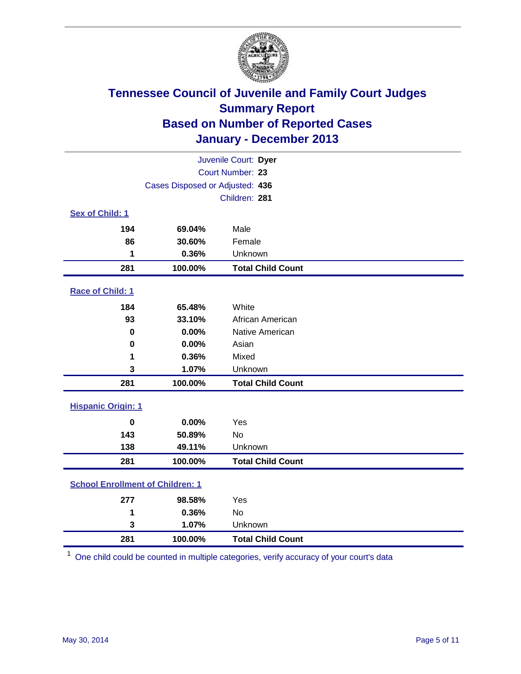

| Juvenile Court: Dyer                    |                                 |                          |  |  |
|-----------------------------------------|---------------------------------|--------------------------|--|--|
| Court Number: 23                        |                                 |                          |  |  |
|                                         | Cases Disposed or Adjusted: 436 |                          |  |  |
|                                         |                                 | Children: 281            |  |  |
| Sex of Child: 1                         |                                 |                          |  |  |
| 194                                     | 69.04%                          | Male                     |  |  |
| 86                                      | 30.60%                          | Female                   |  |  |
| 1                                       | 0.36%                           | Unknown                  |  |  |
| 281                                     | 100.00%                         | <b>Total Child Count</b> |  |  |
| Race of Child: 1                        |                                 |                          |  |  |
| 184                                     | 65.48%                          | White                    |  |  |
| 93                                      | 33.10%                          | African American         |  |  |
| 0                                       | 0.00%                           | Native American          |  |  |
| $\bf{0}$                                | 0.00%                           | Asian                    |  |  |
| 1                                       | 0.36%                           | Mixed                    |  |  |
| 3                                       | 1.07%                           | Unknown                  |  |  |
| 281                                     | 100.00%                         | <b>Total Child Count</b> |  |  |
| <b>Hispanic Origin: 1</b>               |                                 |                          |  |  |
| $\bf{0}$                                | 0.00%                           | Yes                      |  |  |
| 143                                     | 50.89%                          | <b>No</b>                |  |  |
| 138                                     | 49.11%                          | Unknown                  |  |  |
| 281                                     | 100.00%                         | <b>Total Child Count</b> |  |  |
| <b>School Enrollment of Children: 1</b> |                                 |                          |  |  |
| 277                                     | 98.58%                          | Yes                      |  |  |
| 1                                       | 0.36%                           | <b>No</b>                |  |  |
| 3                                       | 1.07%                           | Unknown                  |  |  |
| 281                                     | 100.00%                         | <b>Total Child Count</b> |  |  |

One child could be counted in multiple categories, verify accuracy of your court's data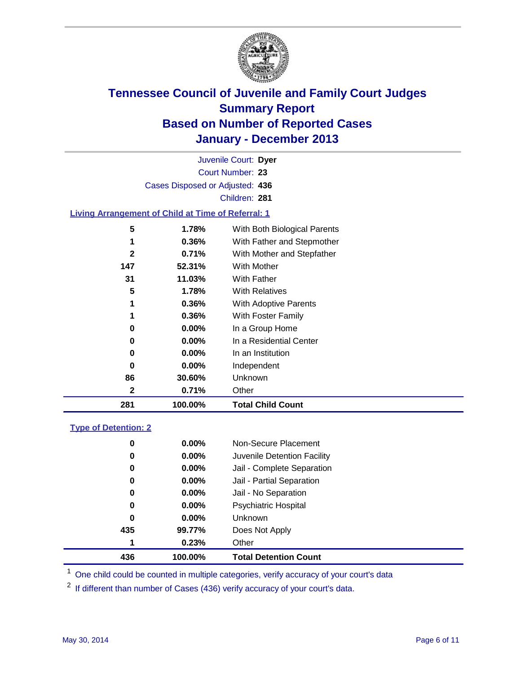

Court Number: **23** Juvenile Court: **Dyer** Cases Disposed or Adjusted: **436** Children: **281**

### **Living Arrangement of Child at Time of Referral: 1**

| 281          | 100.00%  | <b>Total Child Count</b>     |  |
|--------------|----------|------------------------------|--|
| 2            | 0.71%    | Other                        |  |
| 86           | 30.60%   | Unknown                      |  |
| 0            | $0.00\%$ | Independent                  |  |
| 0            | 0.00%    | In an Institution            |  |
| 0            | $0.00\%$ | In a Residential Center      |  |
| 0            | $0.00\%$ | In a Group Home              |  |
| 1            | $0.36\%$ | With Foster Family           |  |
| 1            | 0.36%    | With Adoptive Parents        |  |
| 5            | 1.78%    | <b>With Relatives</b>        |  |
| 31           | 11.03%   | With Father                  |  |
| 147          | 52.31%   | With Mother                  |  |
| $\mathbf{2}$ | 0.71%    | With Mother and Stepfather   |  |
| 1            | 0.36%    | With Father and Stepmother   |  |
| 5            | 1.78%    | With Both Biological Parents |  |
|              |          |                              |  |

#### **Type of Detention: 2**

| 436 | 100.00%  | <b>Total Detention Count</b> |  |
|-----|----------|------------------------------|--|
| 1   | 0.23%    | Other                        |  |
| 435 | 99.77%   | Does Not Apply               |  |
| 0   | $0.00\%$ | <b>Unknown</b>               |  |
| 0   | $0.00\%$ | <b>Psychiatric Hospital</b>  |  |
| 0   | 0.00%    | Jail - No Separation         |  |
| 0   | $0.00\%$ | Jail - Partial Separation    |  |
| 0   | 0.00%    | Jail - Complete Separation   |  |
| 0   | $0.00\%$ | Juvenile Detention Facility  |  |
| 0   | $0.00\%$ | Non-Secure Placement         |  |
|     |          |                              |  |

<sup>1</sup> One child could be counted in multiple categories, verify accuracy of your court's data

If different than number of Cases (436) verify accuracy of your court's data.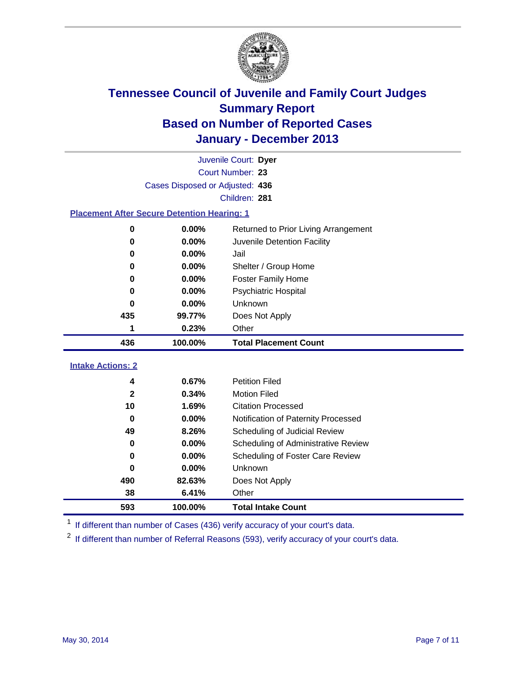

|                                                    | Juvenile Court: Dyer            |                                      |  |  |  |
|----------------------------------------------------|---------------------------------|--------------------------------------|--|--|--|
|                                                    | Court Number: 23                |                                      |  |  |  |
|                                                    | Cases Disposed or Adjusted: 436 |                                      |  |  |  |
|                                                    |                                 | Children: 281                        |  |  |  |
| <b>Placement After Secure Detention Hearing: 1</b> |                                 |                                      |  |  |  |
| 0                                                  | 0.00%                           | Returned to Prior Living Arrangement |  |  |  |
| $\bf{0}$                                           | 0.00%                           | Juvenile Detention Facility          |  |  |  |
| 0                                                  | 0.00%                           | Jail                                 |  |  |  |
| 0                                                  | 0.00%                           | Shelter / Group Home                 |  |  |  |
| 0                                                  | 0.00%                           | <b>Foster Family Home</b>            |  |  |  |
| $\bf{0}$                                           | 0.00%                           | Psychiatric Hospital                 |  |  |  |
| U                                                  | 0.00%                           | Unknown                              |  |  |  |
| 435                                                | 99.77%                          | Does Not Apply                       |  |  |  |
| 1                                                  | 0.23%                           | Other                                |  |  |  |
| 436                                                | 100.00%                         | <b>Total Placement Count</b>         |  |  |  |
| <b>Intake Actions: 2</b>                           |                                 |                                      |  |  |  |
| 4                                                  | 0.67%                           | <b>Petition Filed</b>                |  |  |  |
| $\mathbf 2$                                        | 0.34%                           | <b>Motion Filed</b>                  |  |  |  |
| 10                                                 | 1.69%                           | <b>Citation Processed</b>            |  |  |  |
| 0                                                  | 0.00%                           | Notification of Paternity Processed  |  |  |  |
| 49                                                 | 8.26%                           | Scheduling of Judicial Review        |  |  |  |
| 0                                                  | 0.00%                           | Scheduling of Administrative Review  |  |  |  |
| 0                                                  | 0.00%                           | Scheduling of Foster Care Review     |  |  |  |
| $\bf{0}$                                           | 0.00%                           | Unknown                              |  |  |  |
| 490                                                | 82.63%                          | Does Not Apply                       |  |  |  |
| 38                                                 | 6.41%                           | Other                                |  |  |  |
| 593                                                | 100.00%                         | <b>Total Intake Count</b>            |  |  |  |

<sup>1</sup> If different than number of Cases (436) verify accuracy of your court's data.

<sup>2</sup> If different than number of Referral Reasons (593), verify accuracy of your court's data.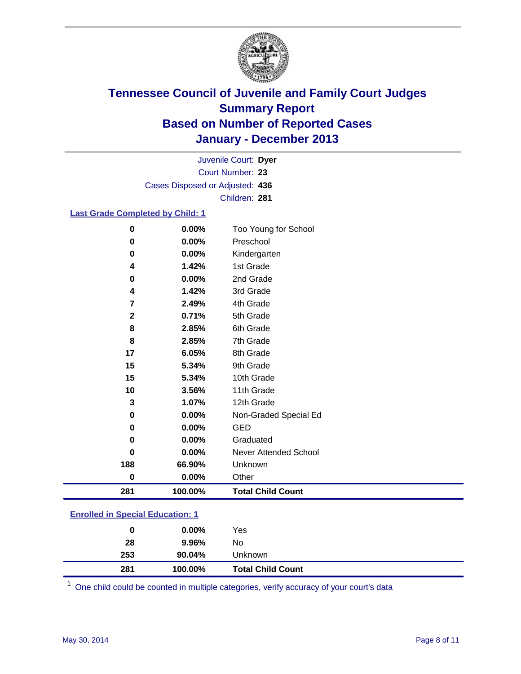

Court Number: **23** Juvenile Court: **Dyer** Cases Disposed or Adjusted: **436** Children: **281**

#### **Last Grade Completed by Child: 1**

| $\bf{0}$     | 0.00%   | Too Young for School     |
|--------------|---------|--------------------------|
| $\bf{0}$     | 0.00%   | Preschool                |
| $\mathbf 0$  | 0.00%   | Kindergarten             |
| 4            | 1.42%   | 1st Grade                |
| $\mathbf 0$  | 0.00%   | 2nd Grade                |
| 4            | 1.42%   | 3rd Grade                |
| 7            | 2.49%   | 4th Grade                |
| $\mathbf{2}$ | 0.71%   | 5th Grade                |
| 8            | 2.85%   | 6th Grade                |
| 8            | 2.85%   | 7th Grade                |
| 17           | 6.05%   | 8th Grade                |
| 15           | 5.34%   | 9th Grade                |
| 15           | 5.34%   | 10th Grade               |
| 10           | 3.56%   | 11th Grade               |
| 3            | 1.07%   | 12th Grade               |
| 0            | 0.00%   | Non-Graded Special Ed    |
| 0            | 0.00%   | <b>GED</b>               |
| $\bf{0}$     | 0.00%   | Graduated                |
| $\bf{0}$     | 0.00%   | Never Attended School    |
| 188          | 66.90%  | Unknown                  |
| $\bf{0}$     | 0.00%   | Other                    |
| 281          | 100.00% | <b>Total Child Count</b> |

### **Enrolled in Special Education: 1**

| <b>Total Child Count</b><br>100.00% |
|-------------------------------------|
| 90.04%<br>Unknown                   |
| 9.96%<br>No                         |
| Yes<br>$0.00\%$                     |
|                                     |

One child could be counted in multiple categories, verify accuracy of your court's data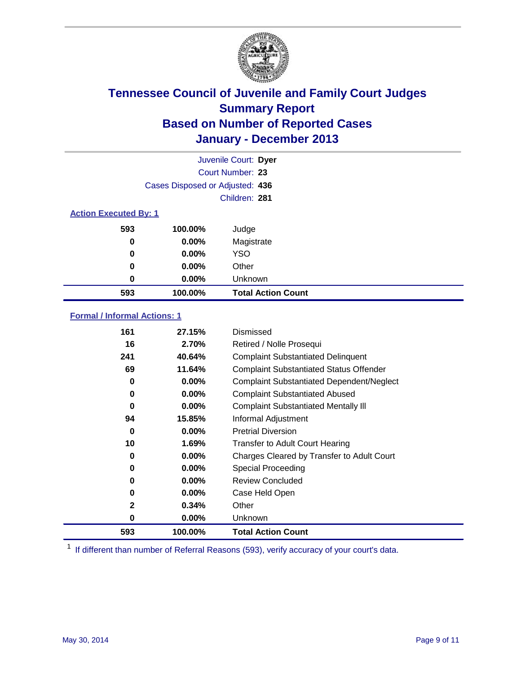

|                              | Juvenile Court: Dyer            |                           |  |  |
|------------------------------|---------------------------------|---------------------------|--|--|
|                              |                                 | Court Number: 23          |  |  |
|                              | Cases Disposed or Adjusted: 436 |                           |  |  |
|                              |                                 | Children: 281             |  |  |
| <b>Action Executed By: 1</b> |                                 |                           |  |  |
| 593                          | 100.00%                         | Judge                     |  |  |
| 0                            | $0.00\%$                        | Magistrate                |  |  |
| $\bf{0}$                     | $0.00\%$                        | <b>YSO</b>                |  |  |
| 0                            | $0.00\%$                        | Other                     |  |  |
| 0                            | $0.00\%$                        | Unknown                   |  |  |
| 593                          | 100.00%                         | <b>Total Action Count</b> |  |  |

### **Formal / Informal Actions: 1**

| 161          | 27.15%   | Dismissed                                        |
|--------------|----------|--------------------------------------------------|
| 16           | 2.70%    | Retired / Nolle Prosequi                         |
| 241          | 40.64%   | <b>Complaint Substantiated Delinquent</b>        |
| 69           | 11.64%   | <b>Complaint Substantiated Status Offender</b>   |
| 0            | $0.00\%$ | <b>Complaint Substantiated Dependent/Neglect</b> |
| 0            | $0.00\%$ | <b>Complaint Substantiated Abused</b>            |
| 0            | $0.00\%$ | <b>Complaint Substantiated Mentally III</b>      |
| 94           | 15.85%   | Informal Adjustment                              |
| 0            | $0.00\%$ | <b>Pretrial Diversion</b>                        |
| 10           | 1.69%    | <b>Transfer to Adult Court Hearing</b>           |
| 0            | $0.00\%$ | Charges Cleared by Transfer to Adult Court       |
| 0            | $0.00\%$ | Special Proceeding                               |
| 0            | $0.00\%$ | <b>Review Concluded</b>                          |
| 0            | $0.00\%$ | Case Held Open                                   |
| $\mathbf{2}$ | 0.34%    | Other                                            |
| 0            | $0.00\%$ | <b>Unknown</b>                                   |
| 593          | 100.00%  | <b>Total Action Count</b>                        |

<sup>1</sup> If different than number of Referral Reasons (593), verify accuracy of your court's data.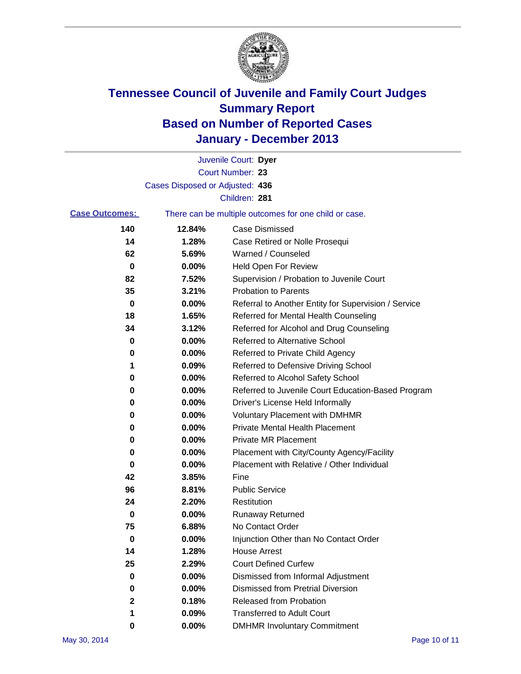

|                       |                                 | Juvenile Court: Dyer                                  |
|-----------------------|---------------------------------|-------------------------------------------------------|
|                       |                                 | Court Number: 23                                      |
|                       | Cases Disposed or Adjusted: 436 |                                                       |
|                       |                                 | Children: 281                                         |
| <b>Case Outcomes:</b> |                                 | There can be multiple outcomes for one child or case. |
| 140                   | 12.84%                          | <b>Case Dismissed</b>                                 |
| 14                    | 1.28%                           | Case Retired or Nolle Prosequi                        |
| 62                    | 5.69%                           | Warned / Counseled                                    |
| 0                     | 0.00%                           | <b>Held Open For Review</b>                           |
| 82                    | 7.52%                           | Supervision / Probation to Juvenile Court             |
| 35                    | 3.21%                           | <b>Probation to Parents</b>                           |
| 0                     | 0.00%                           | Referral to Another Entity for Supervision / Service  |
| 18                    | 1.65%                           | Referred for Mental Health Counseling                 |
| 34                    | 3.12%                           | Referred for Alcohol and Drug Counseling              |
| 0                     | 0.00%                           | <b>Referred to Alternative School</b>                 |
| 0                     | 0.00%                           | Referred to Private Child Agency                      |
| 1                     | 0.09%                           | Referred to Defensive Driving School                  |
| 0                     | 0.00%                           | Referred to Alcohol Safety School                     |
| 0                     | 0.00%                           | Referred to Juvenile Court Education-Based Program    |
| 0                     | 0.00%                           | Driver's License Held Informally                      |
| 0                     | 0.00%                           | <b>Voluntary Placement with DMHMR</b>                 |
| 0                     | 0.00%                           | <b>Private Mental Health Placement</b>                |
| 0                     | 0.00%                           | <b>Private MR Placement</b>                           |
| 0                     | 0.00%                           | Placement with City/County Agency/Facility            |
| 0                     | 0.00%                           | Placement with Relative / Other Individual            |
| 42                    | 3.85%                           | Fine                                                  |
| 96                    | 8.81%                           | <b>Public Service</b>                                 |
| 24                    | 2.20%                           | Restitution                                           |
| 0                     | 0.00%                           | <b>Runaway Returned</b>                               |
| 75                    | 6.88%                           | No Contact Order                                      |
| o                     | 0.00%                           | Injunction Other than No Contact Order                |
| 14                    | 1.28%                           | <b>House Arrest</b>                                   |
| 25                    | 2.29%                           | <b>Court Defined Curfew</b>                           |
| $\bf{0}$              | 0.00%                           | Dismissed from Informal Adjustment                    |
| 0                     | 0.00%                           | <b>Dismissed from Pretrial Diversion</b>              |
| 2                     | 0.18%                           | <b>Released from Probation</b>                        |
|                       | 0.09%                           | <b>Transferred to Adult Court</b>                     |
| 0                     | $0.00\%$                        | <b>DMHMR Involuntary Commitment</b>                   |